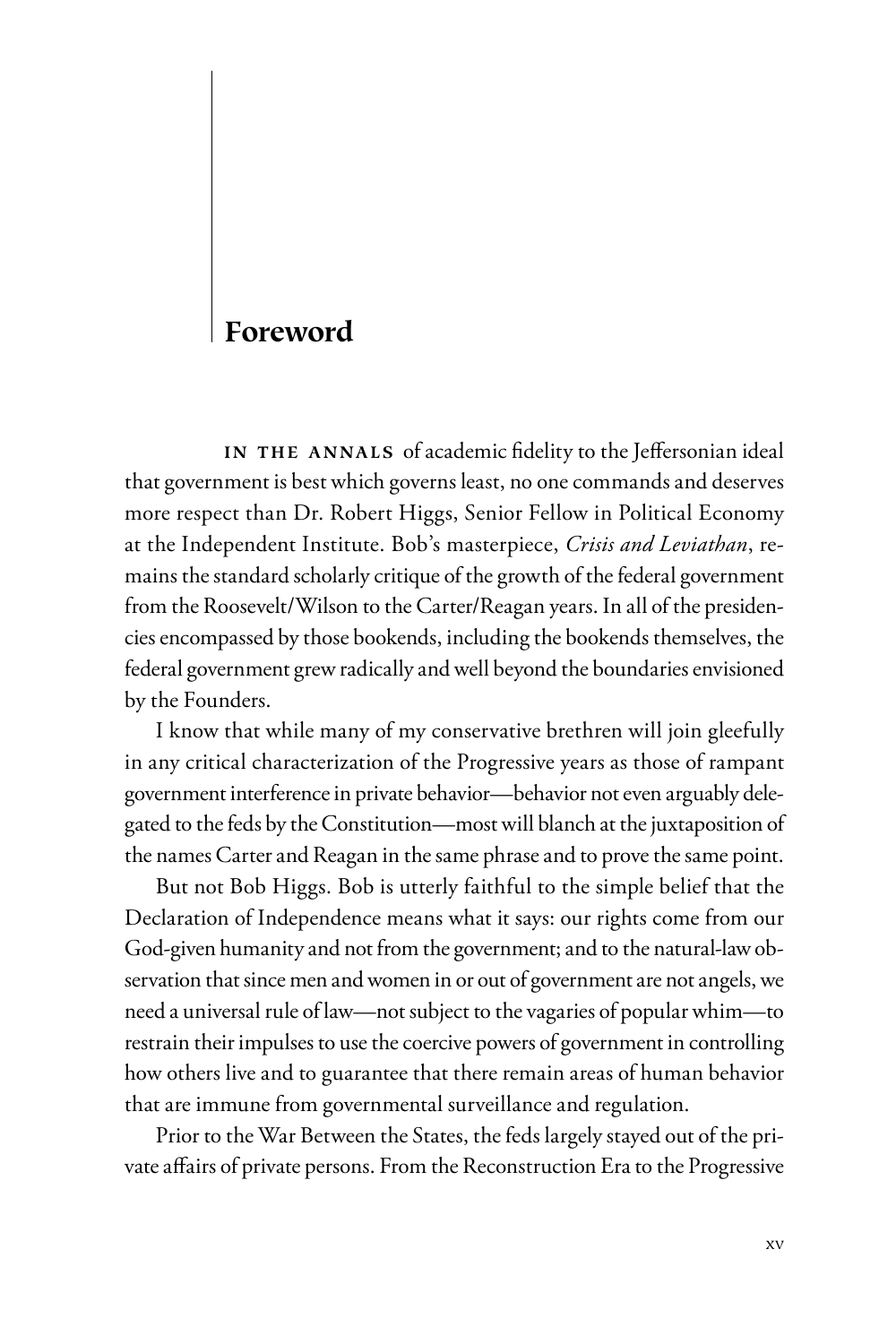## **Foreword**

IN THE ANNALS of academic fidelity to the Jeffersonian ideal that government is best which governs least, no one commands and deserves more respect than Dr. Robert Higgs, Senior Fellow in Political Economy at the Independent Institute. Bob's masterpiece, *Crisis and Leviathan*, remains the standard scholarly critique of the growth of the federal government from the Roosevelt/Wilson to the Carter/Reagan years. In all of the presidencies encompassed by those bookends, including the bookends themselves, the federal government grew radically and well beyond the boundaries envisioned by the Founders.

I know that while many of my conservative brethren will join gleefully in any critical characterization of the Progressive years as those of rampant government interference in private behavior—behavior not even arguably delegated to the feds by the Constitution—most will blanch at the juxtaposition of the names Carter and Reagan in the same phrase and to prove the same point.

But not Bob Higgs. Bob is utterly faithful to the simple belief that the Declaration of Independence means what it says: our rights come from our God-given humanity and not from the government; and to the natural-law observation that since men and women in or out of government are not angels, we need a universal rule of law—not subject to the vagaries of popular whim—to restrain their impulses to use the coercive powers of government in controlling how others live and to guarantee that there remain areas of human behavior that are immune from governmental surveillance and regulation.

Prior to the War Between the States, the feds largely stayed out of the private affairs of private persons. From the Reconstruction Era to the Progressive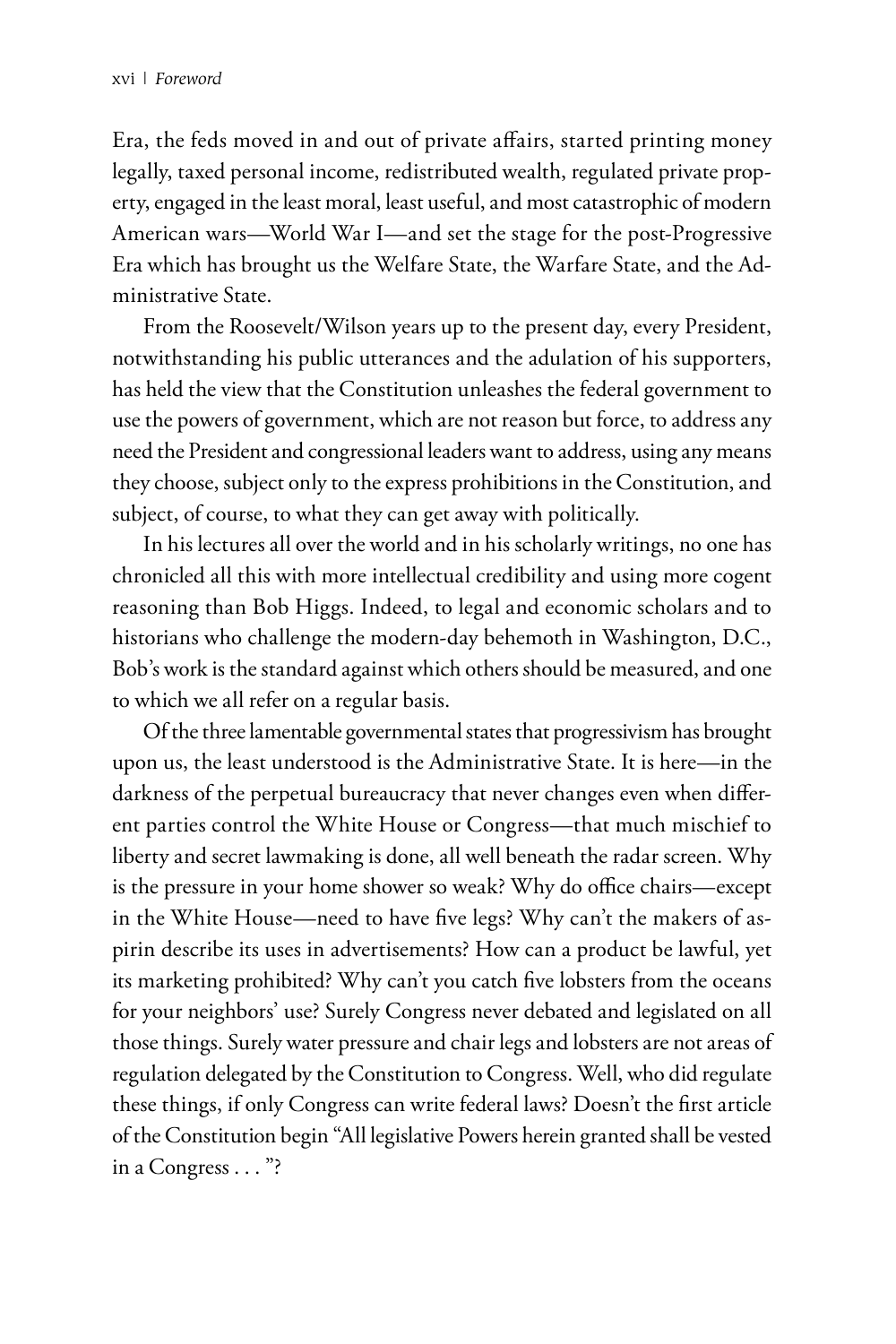Era, the feds moved in and out of private affairs, started printing money legally, taxed personal income, redistributed wealth, regulated private property, engaged in the least moral, least useful, and most catastrophic of modern American wars—World War I—and set the stage for the post-Progressive Era which has brought us the Welfare State, the Warfare State, and the Administrative State.

From the Roosevelt/Wilson years up to the present day, every President, notwithstanding his public utterances and the adulation of his supporters, has held the view that the Constitution unleashes the federal government to use the powers of government, which are not reason but force, to address any need the President and congressional leaders want to address, using any means they choose, subject only to the express prohibitions in the Constitution, and subject, of course, to what they can get away with politically.

In his lectures all over the world and in his scholarly writings, no one has chronicled all this with more intellectual credibility and using more cogent reasoning than Bob Higgs. Indeed, to legal and economic scholars and to historians who challenge the modern-day behemoth in Washington, D.C., Bob's work is the standard against which others should be measured, and one to which we all refer on a regular basis.

Of the three lamentable governmental states that progressivism has brought upon us, the least understood is the Administrative State. It is here—in the darkness of the perpetual bureaucracy that never changes even when different parties control the White House or Congress—that much mischief to liberty and secret lawmaking is done, all well beneath the radar screen. Why is the pressure in your home shower so weak? Why do office chairs—except in the White House—need to have five legs? Why can't the makers of aspirin describe its uses in advertisements? How can a product be lawful, yet its marketing prohibited? Why can't you catch five lobsters from the oceans for your neighbors' use? Surely Congress never debated and legislated on all those things. Surely water pressure and chair legs and lobsters are not areas of regulation delegated by the Constitution to Congress. Well, who did regulate these things, if only Congress can write federal laws? Doesn't the first article of the Constitution begin "All legislative Powers herein granted shall be vested in a Congress . . . "?